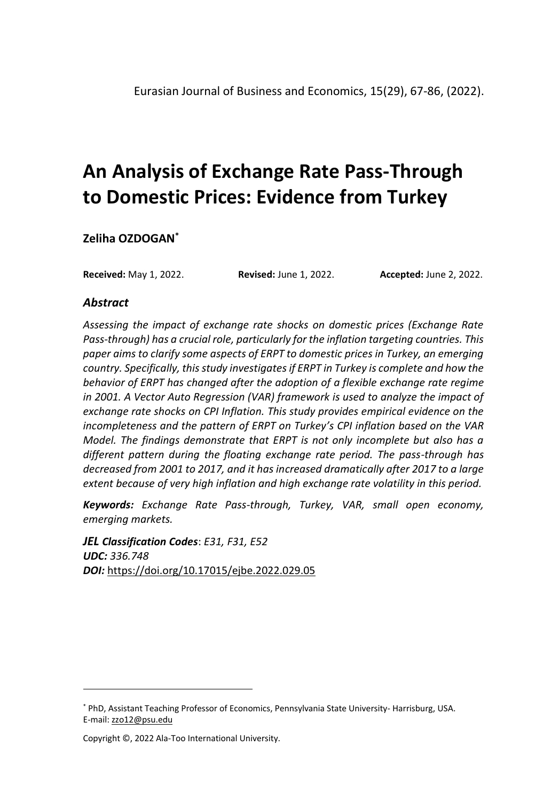**Zeliha OZDOGAN\***

**Received:** May 1, 2022. **Revised:** June 1, 2022. **Accepted:** June 2, 2022.

#### *Abstract*

*Assessing the impact of exchange rate shocks on domestic prices (Exchange Rate Pass-through) has a crucial role, particularly for the inflation targeting countries. This paper aims to clarify some aspects of ERPT to domestic prices in Turkey, an emerging country. Specifically, this study investigates if ERPT in Turkey is complete and how the behavior of ERPT has changed after the adoption of a flexible exchange rate regime in 2001. A Vector Auto Regression (VAR) framework is used to analyze the impact of exchange rate shocks on CPI Inflation. This study provides empirical evidence on the incompleteness and the pattern of ERPT on Turkey's CPI inflation based on the VAR Model. The findings demonstrate that ERPT is not only incomplete but also has a different pattern during the floating exchange rate period. The pass-through has decreased from 2001 to 2017, and it has increased dramatically after 2017 to a large extent because of very high inflation and high exchange rate volatility in this period.*

*Keywords: Exchange Rate Pass-through, Turkey, VAR, small open economy, emerging markets.*

*JEL Classification Codes*: *E31, F31, E52 UDC: 336.748 DOI:* <https://doi.org/10.17015/ejbe.2022.029.05>

<sup>\*</sup> PhD, Assistant Teaching Professor of Economics, Pennsylvania State University- Harrisburg, USA. E-mail: [zzo12@psu.edu](mailto:zzo12@psu.edu)

Copyright ©, 2022 Ala-Too International University.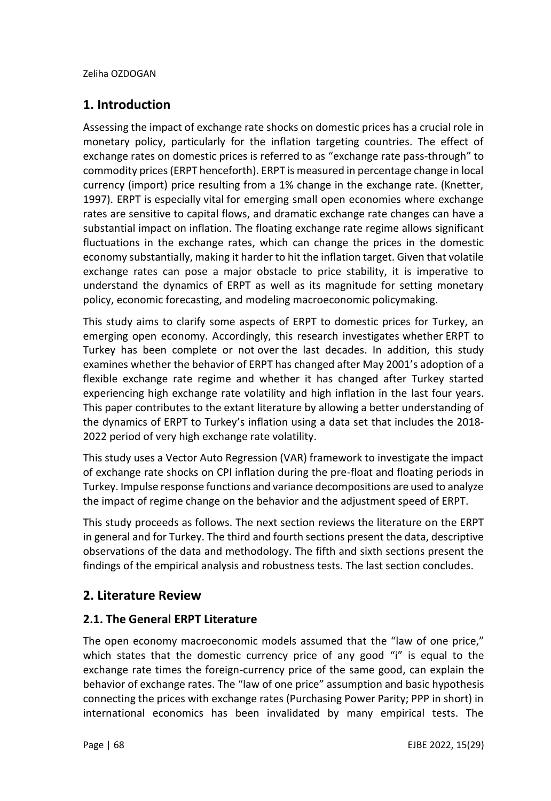# **1. Introduction**

Assessing the impact of exchange rate shocks on domestic prices has a crucial role in monetary policy, particularly for the inflation targeting countries. The effect of exchange rates on domestic prices is referred to as "exchange rate pass-through" to commodity prices (ERPT henceforth). ERPT is measured in percentage change in local currency (import) price resulting from a 1% change in the exchange rate. (Knetter, 1997). ERPT is especially vital for emerging small open economies where exchange rates are sensitive to capital flows, and dramatic exchange rate changes can have a substantial impact on inflation. The floating exchange rate regime allows significant fluctuations in the exchange rates, which can change the prices in the domestic economy substantially, making it harder to hit the inflation target. Given that volatile exchange rates can pose a major obstacle to price stability, it is imperative to understand the dynamics of ERPT as well as its magnitude for setting monetary policy, economic forecasting, and modeling macroeconomic policymaking.

This study aims to clarify some aspects of ERPT to domestic prices for Turkey, an emerging open economy. Accordingly, this research investigates whether ERPT to Turkey has been complete or not over the last decades. In addition, this study examines whether the behavior of ERPT has changed after May 2001's adoption of a flexible exchange rate regime and whether it has changed after Turkey started experiencing high exchange rate volatility and high inflation in the last four years. This paper contributes to the extant literature by allowing a better understanding of the dynamics of ERPT to Turkey's inflation using a data set that includes the 2018- 2022 period of very high exchange rate volatility.

This study uses a Vector Auto Regression (VAR) framework to investigate the impact of exchange rate shocks on CPI inflation during the pre-float and floating periods in Turkey. Impulse response functions and variance decompositions are used to analyze the impact of regime change on the behavior and the adjustment speed of ERPT.

This study proceeds as follows. The next section reviews the literature on the ERPT in general and for Turkey. The third and fourth sections present the data, descriptive observations of the data and methodology. The fifth and sixth sections present the findings of the empirical analysis and robustness tests. The last section concludes.

# **2. Literature Review**

## **2.1. The General ERPT Literature**

The open economy macroeconomic models assumed that the "law of one price," which states that the domestic currency price of any good "i" is equal to the exchange rate times the foreign-currency price of the same good, can explain the behavior of exchange rates. The "law of one price" assumption and basic hypothesis connecting the prices with exchange rates (Purchasing Power Parity; PPP in short) in international economics has been invalidated by many empirical tests. The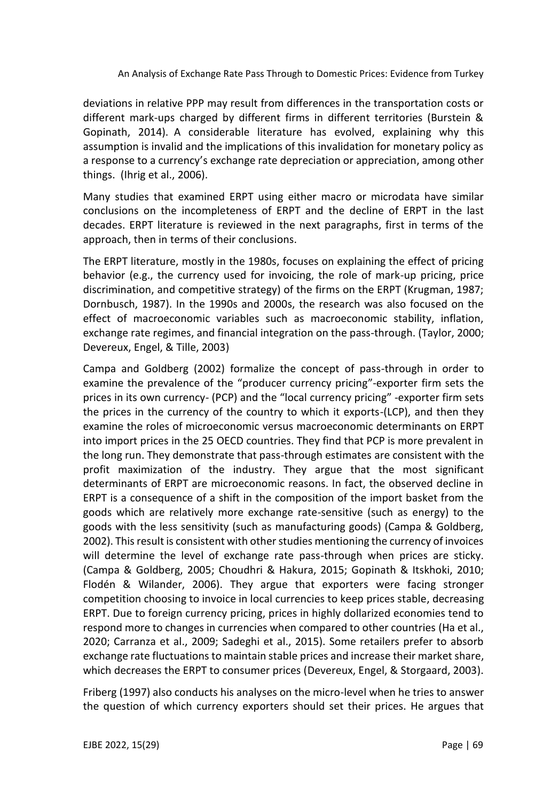deviations in relative PPP may result from differences in the transportation costs or different mark-ups charged by different firms in different territories (Burstein & Gopinath, 2014). A considerable literature has evolved, explaining why this assumption is invalid and the implications of this invalidation for monetary policy as a response to a currency's exchange rate depreciation or appreciation, among other things. (Ihrig et al., 2006).

Many studies that examined ERPT using either macro or microdata have similar conclusions on the incompleteness of ERPT and the decline of ERPT in the last decades. ERPT literature is reviewed in the next paragraphs, first in terms of the approach, then in terms of their conclusions.

The ERPT literature, mostly in the 1980s, focuses on explaining the effect of pricing behavior (e.g., the currency used for invoicing, the role of mark-up pricing, price discrimination, and competitive strategy) of the firms on the ERPT (Krugman, 1987; Dornbusch, 1987). In the 1990s and 2000s, the research was also focused on the effect of macroeconomic variables such as macroeconomic stability, inflation, exchange rate regimes, and financial integration on the pass-through. (Taylor, 2000; Devereux, Engel, & Tille, 2003)

Campa and Goldberg (2002) formalize the concept of pass-through in order to examine the prevalence of the "producer currency pricing"-exporter firm sets the prices in its own currency- (PCP) and the "local currency pricing" -exporter firm sets the prices in the currency of the country to which it exports-(LCP), and then they examine the roles of microeconomic versus macroeconomic determinants on ERPT into import prices in the 25 OECD countries. They find that PCP is more prevalent in the long run. They demonstrate that pass-through estimates are consistent with the profit maximization of the industry. They argue that the most significant determinants of ERPT are microeconomic reasons. In fact, the observed decline in ERPT is a consequence of a shift in the composition of the import basket from the goods which are relatively more exchange rate-sensitive (such as energy) to the goods with the less sensitivity (such as manufacturing goods) (Campa & Goldberg, 2002). This result is consistent with other studies mentioning the currency of invoices will determine the level of exchange rate pass-through when prices are sticky. (Campa & Goldberg, 2005; Choudhri & Hakura, 2015; Gopinath & Itskhoki, 2010; Flodén & Wilander, 2006). They argue that exporters were facing stronger competition choosing to invoice in local currencies to keep prices stable, decreasing ERPT. Due to foreign currency pricing, prices in highly dollarized economies tend to respond more to changes in currencies when compared to other countries (Ha et al., 2020; Carranza et al., 2009; Sadeghi et al., 2015). Some retailers prefer to absorb exchange rate fluctuations to maintain stable prices and increase their market share, which decreases the ERPT to consumer prices (Devereux, Engel, & Storgaard, 2003).

Friberg (1997) also conducts his analyses on the micro-level when he tries to answer the question of which currency exporters should set their prices. He argues that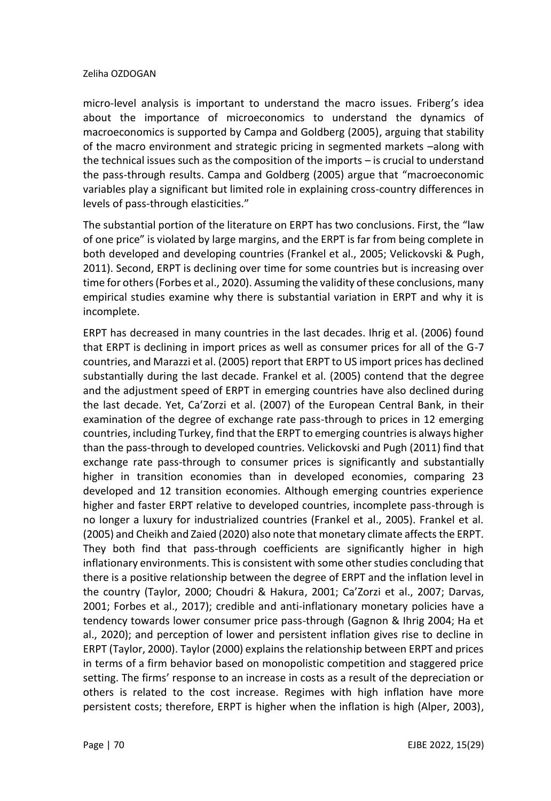micro-level analysis is important to understand the macro issues. Friberg's idea about the importance of microeconomics to understand the dynamics of macroeconomics is supported by Campa and Goldberg (2005), arguing that stability of the macro environment and strategic pricing in segmented markets –along with the technical issues such as the composition of the imports – is crucial to understand the pass-through results. Campa and Goldberg (2005) argue that "macroeconomic variables play a significant but limited role in explaining cross-country differences in levels of pass-through elasticities."

The substantial portion of the literature on ERPT has two conclusions. First, the "law of one price" is violated by large margins, and the ERPT is far from being complete in both developed and developing countries (Frankel et al., 2005; Velickovski & Pugh, 2011). Second, ERPT is declining over time for some countries but is increasing over time for others (Forbes et al., 2020). Assuming the validity of these conclusions, many empirical studies examine why there is substantial variation in ERPT and why it is incomplete.

ERPT has decreased in many countries in the last decades. Ihrig et al. (2006) found that ERPT is declining in import prices as well as consumer prices for all of the G-7 countries, and Marazzi et al. (2005) report that ERPT to US import prices has declined substantially during the last decade. Frankel et al. (2005) contend that the degree and the adjustment speed of ERPT in emerging countries have also declined during the last decade. Yet, Ca'Zorzi et al. (2007) of the European Central Bank, in their examination of the degree of exchange rate pass-through to prices in 12 emerging countries, including Turkey, find that the ERPT to emerging countries is always higher than the pass-through to developed countries. Velickovski and Pugh (2011) find that exchange rate pass-through to consumer prices is significantly and substantially higher in transition economies than in developed economies, comparing 23 developed and 12 transition economies. Although emerging countries experience higher and faster ERPT relative to developed countries, incomplete pass-through is no longer a luxury for industrialized countries (Frankel et al., 2005). Frankel et al. (2005) and Cheikh and Zaied (2020) also note that monetary climate affects the ERPT. They both find that pass-through coefficients are significantly higher in high inflationary environments. This is consistent with some other studies concluding that there is a positive relationship between the degree of ERPT and the inflation level in the country (Taylor, 2000; Choudri & Hakura, 2001; Ca'Zorzi et al., 2007; Darvas, 2001; Forbes et al., 2017); credible and anti-inflationary monetary policies have a tendency towards lower consumer price pass-through (Gagnon & Ihrig 2004; Ha et al., 2020); and perception of lower and persistent inflation gives rise to decline in ERPT (Taylor, 2000). Taylor (2000) explains the relationship between ERPT and prices in terms of a firm behavior based on monopolistic competition and staggered price setting. The firms' response to an increase in costs as a result of the depreciation or others is related to the cost increase. Regimes with high inflation have more persistent costs; therefore, ERPT is higher when the inflation is high (Alper, 2003),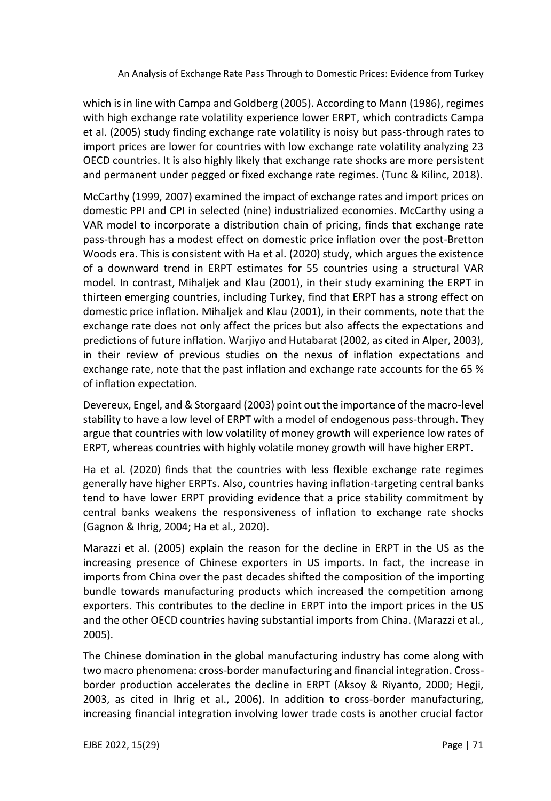which is in line with Campa and Goldberg (2005). According to Mann (1986), regimes with high exchange rate volatility experience lower ERPT, which contradicts Campa et al. (2005) study finding exchange rate volatility is noisy but pass-through rates to import prices are lower for countries with low exchange rate volatility analyzing 23 OECD countries. It is also highly likely that exchange rate shocks are more persistent and permanent under pegged or fixed exchange rate regimes. (Tunc & Kilinc, 2018).

McCarthy (1999, 2007) examined the impact of exchange rates and import prices on domestic PPI and CPI in selected (nine) industrialized economies. McCarthy using a VAR model to incorporate a distribution chain of pricing, finds that exchange rate pass-through has a modest effect on domestic price inflation over the post-Bretton Woods era. This is consistent with Ha et al. (2020) study, which argues the existence of a downward trend in ERPT estimates for 55 countries using a structural VAR model. In contrast, Mihaljek and Klau (2001), in their study examining the ERPT in thirteen emerging countries, including Turkey, find that ERPT has a strong effect on domestic price inflation. Mihaljek and Klau (2001), in their comments, note that the exchange rate does not only affect the prices but also affects the expectations and predictions of future inflation. Warjiyo and Hutabarat (2002, as cited in Alper, 2003), in their review of previous studies on the nexus of inflation expectations and exchange rate, note that the past inflation and exchange rate accounts for the 65 % of inflation expectation.

Devereux, Engel, and & Storgaard (2003) point out the importance of the macro-level stability to have a low level of ERPT with a model of endogenous pass-through. They argue that countries with low volatility of money growth will experience low rates of ERPT, whereas countries with highly volatile money growth will have higher ERPT.

Ha et al. (2020) finds that the countries with less flexible exchange rate regimes generally have higher ERPTs. Also, countries having inflation-targeting central banks tend to have lower ERPT providing evidence that a price stability commitment by central banks weakens the responsiveness of inflation to exchange rate shocks (Gagnon & Ihrig, 2004; Ha et al., 2020).

Marazzi et al. (2005) explain the reason for the decline in ERPT in the US as the increasing presence of Chinese exporters in US imports. In fact, the increase in imports from China over the past decades shifted the composition of the importing bundle towards manufacturing products which increased the competition among exporters. This contributes to the decline in ERPT into the import prices in the US and the other OECD countries having substantial imports from China. (Marazzi et al., 2005).

The Chinese domination in the global manufacturing industry has come along with two macro phenomena: cross-border manufacturing and financial integration. Crossborder production accelerates the decline in ERPT (Aksoy & Riyanto, 2000; Hegji, 2003, as cited in Ihrig et al., 2006). In addition to cross-border manufacturing, increasing financial integration involving lower trade costs is another crucial factor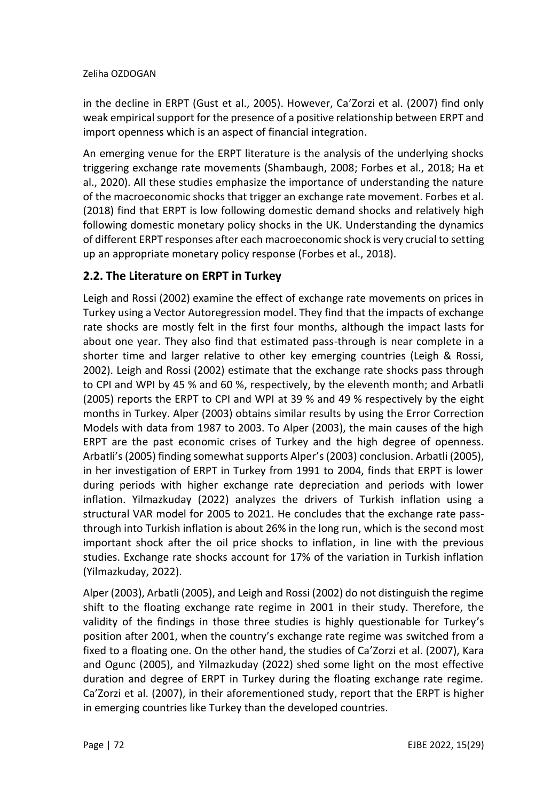in the decline in ERPT (Gust et al., 2005). However, Ca'Zorzi et al. (2007) find only weak empirical support for the presence of a positive relationship between ERPT and import openness which is an aspect of financial integration.

An emerging venue for the ERPT literature is the analysis of the underlying shocks triggering exchange rate movements (Shambaugh, 2008; Forbes et al., 2018; Ha et al., 2020). All these studies emphasize the importance of understanding the nature of the macroeconomic shocks that trigger an exchange rate movement. Forbes et al. (2018) find that ERPT is low following domestic demand shocks and relatively high following domestic monetary policy shocks in the UK. Understanding the dynamics of different ERPT responses after each macroeconomic shock is very crucial to setting up an appropriate monetary policy response (Forbes et al., 2018).

## **2.2. The Literature on ERPT in Turkey**

Leigh and Rossi (2002) examine the effect of exchange rate movements on prices in Turkey using a Vector Autoregression model. They find that the impacts of exchange rate shocks are mostly felt in the first four months, although the impact lasts for about one year. They also find that estimated pass-through is near complete in a shorter time and larger relative to other key emerging countries (Leigh & Rossi, 2002). Leigh and Rossi (2002) estimate that the exchange rate shocks pass through to CPI and WPI by 45 % and 60 %, respectively, by the eleventh month; and Arbatli (2005) reports the ERPT to CPI and WPI at 39 % and 49 % respectively by the eight months in Turkey. Alper (2003) obtains similar results by using the Error Correction Models with data from 1987 to 2003. To Alper (2003), the main causes of the high ERPT are the past economic crises of Turkey and the high degree of openness. Arbatli's (2005) finding somewhat supports Alper's (2003) conclusion. Arbatli (2005), in her investigation of ERPT in Turkey from 1991 to 2004, finds that ERPT is lower during periods with higher exchange rate depreciation and periods with lower inflation. Yilmazkuday (2022) analyzes the drivers of Turkish inflation using a structural VAR model for 2005 to 2021. He concludes that the exchange rate passthrough into Turkish inflation is about 26% in the long run, which is the second most important shock after the oil price shocks to inflation, in line with the previous studies. Exchange rate shocks account for 17% of the variation in Turkish inflation (Yilmazkuday, 2022).

Alper (2003), Arbatli (2005), and Leigh and Rossi (2002) do not distinguish the regime shift to the floating exchange rate regime in 2001 in their study. Therefore, the validity of the findings in those three studies is highly questionable for Turkey's position after 2001, when the country's exchange rate regime was switched from a fixed to a floating one. On the other hand, the studies of Ca'Zorzi et al. (2007), Kara and Ogunc (2005), and Yilmazkuday (2022) shed some light on the most effective duration and degree of ERPT in Turkey during the floating exchange rate regime. Ca'Zorzi et al. (2007), in their aforementioned study, report that the ERPT is higher in emerging countries like Turkey than the developed countries.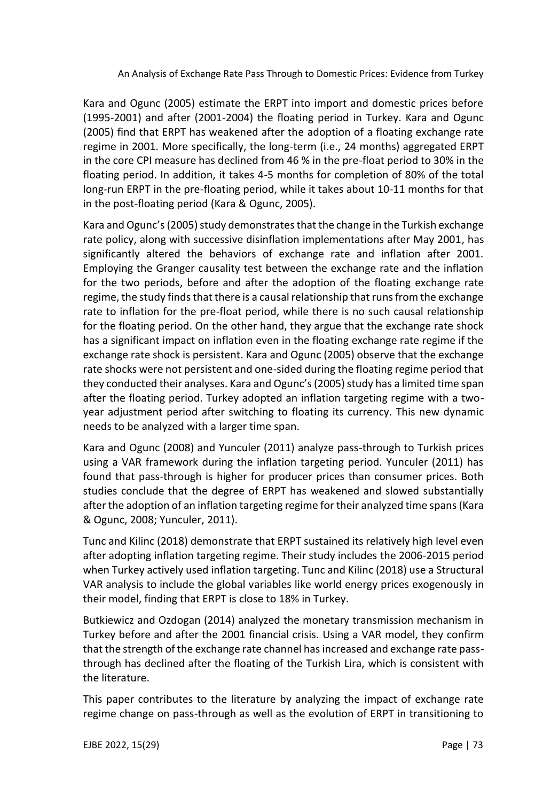Kara and Ogunc (2005) estimate the ERPT into import and domestic prices before (1995-2001) and after (2001-2004) the floating period in Turkey. Kara and Ogunc (2005) find that ERPT has weakened after the adoption of a floating exchange rate regime in 2001. More specifically, the long-term (i.e., 24 months) aggregated ERPT in the core CPI measure has declined from 46 % in the pre-float period to 30% in the floating period. In addition, it takes 4-5 months for completion of 80% of the total long-run ERPT in the pre-floating period, while it takes about 10-11 months for that in the post-floating period (Kara & Ogunc, 2005).

Kara and Ogunc's(2005) study demonstratesthat the change in the Turkish exchange rate policy, along with successive disinflation implementations after May 2001, has significantly altered the behaviors of exchange rate and inflation after 2001. Employing the Granger causality test between the exchange rate and the inflation for the two periods, before and after the adoption of the floating exchange rate regime, the study finds that there is a causal relationship that runs from the exchange rate to inflation for the pre-float period, while there is no such causal relationship for the floating period. On the other hand, they argue that the exchange rate shock has a significant impact on inflation even in the floating exchange rate regime if the exchange rate shock is persistent. Kara and Ogunc (2005) observe that the exchange rate shocks were not persistent and one-sided during the floating regime period that they conducted their analyses. Kara and Ogunc's(2005) study has a limited time span after the floating period. Turkey adopted an inflation targeting regime with a twoyear adjustment period after switching to floating its currency. This new dynamic needs to be analyzed with a larger time span.

Kara and Ogunc (2008) and Yunculer (2011) analyze pass-through to Turkish prices using a VAR framework during the inflation targeting period. Yunculer (2011) has found that pass-through is higher for producer prices than consumer prices. Both studies conclude that the degree of ERPT has weakened and slowed substantially after the adoption of an inflation targeting regime for their analyzed time spans (Kara & Ogunc, 2008; Yunculer, 2011).

Tunc and Kilinc (2018) demonstrate that ERPT sustained its relatively high level even after adopting inflation targeting regime. Their study includes the 2006-2015 period when Turkey actively used inflation targeting. Tunc and Kilinc (2018) use a Structural VAR analysis to include the global variables like world energy prices exogenously in their model, finding that ERPT is close to 18% in Turkey.

Butkiewicz and Ozdogan (2014) analyzed the monetary transmission mechanism in Turkey before and after the 2001 financial crisis. Using a VAR model, they confirm that the strength of the exchange rate channel has increased and exchange rate passthrough has declined after the floating of the Turkish Lira, which is consistent with the literature.

This paper contributes to the literature by analyzing the impact of exchange rate regime change on pass-through as well as the evolution of ERPT in transitioning to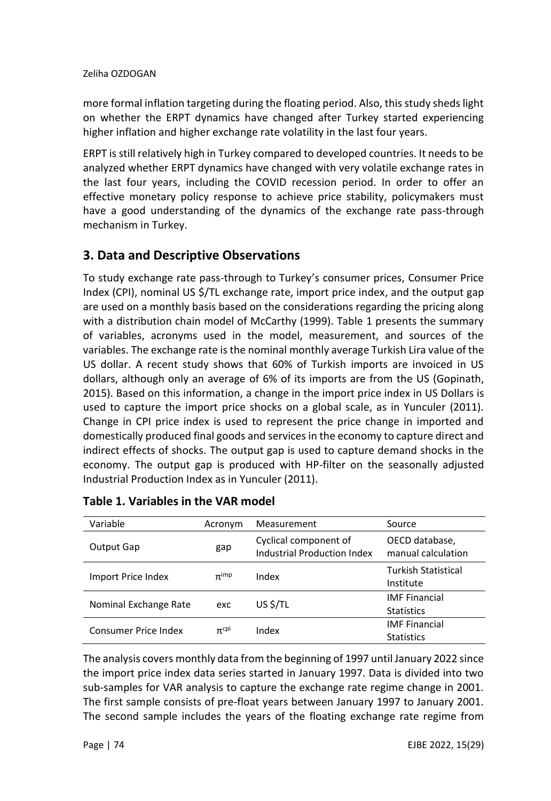more formal inflation targeting during the floating period. Also, this study sheds light on whether the ERPT dynamics have changed after Turkey started experiencing higher inflation and higher exchange rate volatility in the last four years.

ERPT is still relatively high in Turkey compared to developed countries. It needs to be analyzed whether ERPT dynamics have changed with very volatile exchange rates in the last four years, including the COVID recession period. In order to offer an effective monetary policy response to achieve price stability, policymakers must have a good understanding of the dynamics of the exchange rate pass-through mechanism in Turkey.

# **3. Data and Descriptive Observations**

To study exchange rate pass-through to Turkey's consumer prices, Consumer Price Index (CPI), nominal US \$/TL exchange rate, import price index, and the output gap are used on a monthly basis based on the considerations regarding the pricing along with a distribution chain model of McCarthy (1999). Table 1 presents the summary of variables, acronyms used in the model, measurement, and sources of the variables. The exchange rate is the nominal monthly average Turkish Lira value of the US dollar. A recent study shows that 60% of Turkish imports are invoiced in US dollars, although only an average of 6% of its imports are from the US (Gopinath, 2015). Based on this information, a change in the import price index in US Dollars is used to capture the import price shocks on a global scale, as in Yunculer (2011). Change in CPI price index is used to represent the price change in imported and domestically produced final goods and services in the economy to capture direct and indirect effects of shocks. The output gap is used to capture demand shocks in the economy. The output gap is produced with HP-filter on the seasonally adjusted Industrial Production Index as in Yunculer (2011).

| Variable              | Acronym     | Measurement                                          | Source                                    |  |
|-----------------------|-------------|------------------------------------------------------|-------------------------------------------|--|
| Output Gap            | gap         | Cyclical component of<br>Industrial Production Index | OECD database,<br>manual calculation      |  |
| Import Price Index    | $\pi$ imp   | Index                                                | Turkish Statistical<br>Institute          |  |
| Nominal Exchange Rate | exc         | US \$/TL                                             | <b>IMF Financial</b><br><b>Statistics</b> |  |
| Consumer Price Index  | $\pi^{cpi}$ | Index                                                | <b>IMF Financial</b><br><b>Statistics</b> |  |

## **Table 1. Variables in the VAR model**

The analysis covers monthly data from the beginning of 1997 until January 2022 since the import price index data series started in January 1997. Data is divided into two sub-samples for VAR analysis to capture the exchange rate regime change in 2001. The first sample consists of pre-float years between January 1997 to January 2001. The second sample includes the years of the floating exchange rate regime from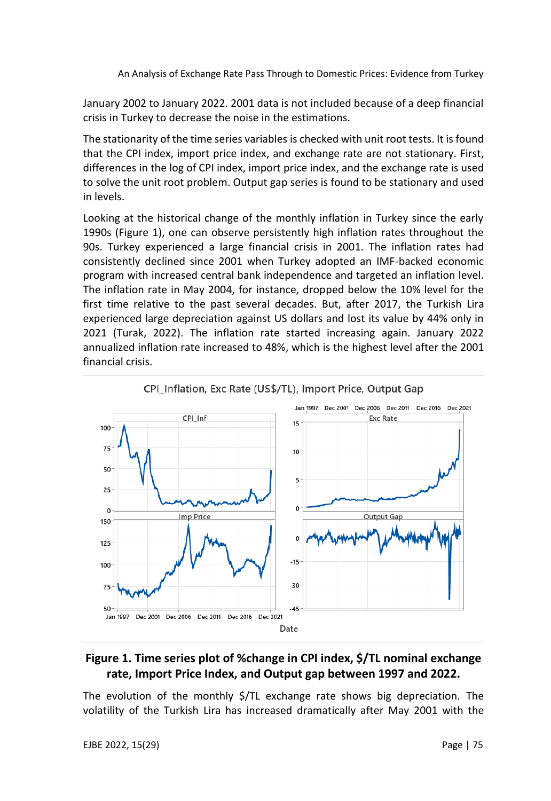January 2002 to January 2022. 2001 data is not included because of a deep financial crisis in Turkey to decrease the noise in the estimations.

The stationarity of the time series variables is checked with unit root tests. It is found that the CPI index, import price index, and exchange rate are not stationary. First, differences in the log of CPI index, import price index, and the exchange rate is used to solve the unit root problem. Output gap series is found to be stationary and used in levels.

Looking at the historical change of the monthly inflation in Turkey since the early 1990s (Figure 1), one can observe persistently high inflation rates throughout the 90s. Turkey experienced a large financial crisis in 2001. The inflation rates had consistently declined since 2001 when Turkey adopted an IMF-backed economic program with increased central bank independence and targeted an inflation level. The inflation rate in May 2004, for instance, dropped below the 10% level for the first time relative to the past several decades. But, after 2017, the Turkish Lira experienced large depreciation against US dollars and lost its value by 44% only in 2021 (Turak, 2022). The inflation rate started increasing again. January 2022 annualized inflation rate increased to 48%, which is the highest level after the 2001 financial crisis.



## **Figure 1. Time series plot of %change in CPI index, \$/TL nominal exchange rate, Import Price Index, and Output gap between 1997 and 2022.**

The evolution of the monthly \$/TL exchange rate shows big depreciation. The volatility of the Turkish Lira has increased dramatically after May 2001 with the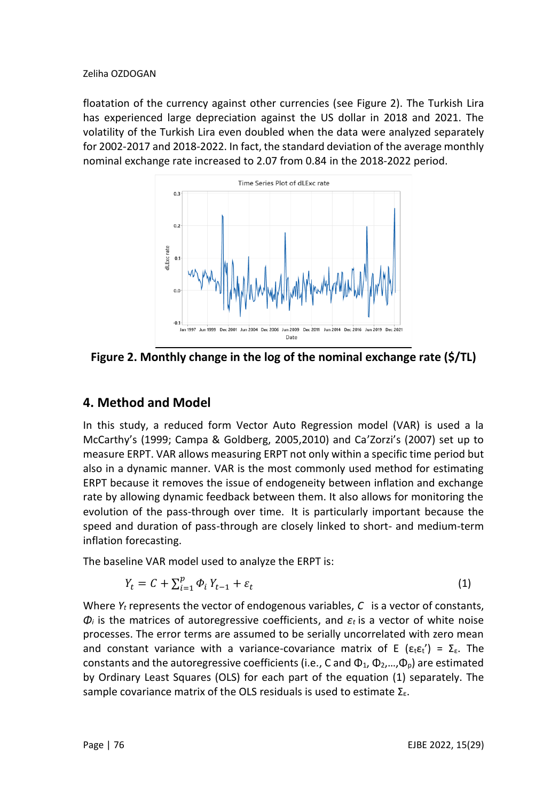floatation of the currency against other currencies (see Figure 2). The Turkish Lira has experienced large depreciation against the US dollar in 2018 and 2021. The volatility of the Turkish Lira even doubled when the data were analyzed separately for 2002-2017 and 2018-2022. In fact, the standard deviation of the average monthly nominal exchange rate increased to 2.07 from 0.84 in the 2018-2022 period.



**Figure 2. Monthly change in the log of the nominal exchange rate (\$/TL)**

## **4. Method and Model**

In this study, a reduced form Vector Auto Regression model (VAR) is used a la McCarthy's (1999; Campa & Goldberg, 2005,2010) and Ca'Zorzi's (2007) set up to measure ERPT. VAR allows measuring ERPT not only within a specific time period but also in a dynamic manner. VAR is the most commonly used method for estimating ERPT because it removes the issue of endogeneity between inflation and exchange rate by allowing dynamic feedback between them. It also allows for monitoring the evolution of the pass-through over time. It is particularly important because the speed and duration of pass-through are closely linked to short- and medium-term inflation forecasting.

The baseline VAR model used to analyze the ERPT is:

$$
Y_t = C + \sum_{i=1}^p \Phi_i Y_{t-1} + \varepsilon_t \tag{1}
$$

Where *Y<sup>t</sup>* represents the vector of endogenous variables, *C* is a vector of constants, *Φ<sup>i</sup>* is the matrices of autoregressive coefficients, and *εt* is a vector of white noise processes. The error terms are assumed to be serially uncorrelated with zero mean and constant variance with a variance-covariance matrix of E ( $\epsilon_t \epsilon_t'$ ) =  $\Sigma_{\epsilon}$ . The constants and the autoregressive coefficients (i.e., C and  $\Phi_1$ ,  $\Phi_2$ ,..., $\Phi_0$ ) are estimated by Ordinary Least Squares (OLS) for each part of the equation (1) separately. The sample covariance matrix of the OLS residuals is used to estimate  $\Sigma_{\epsilon}$ .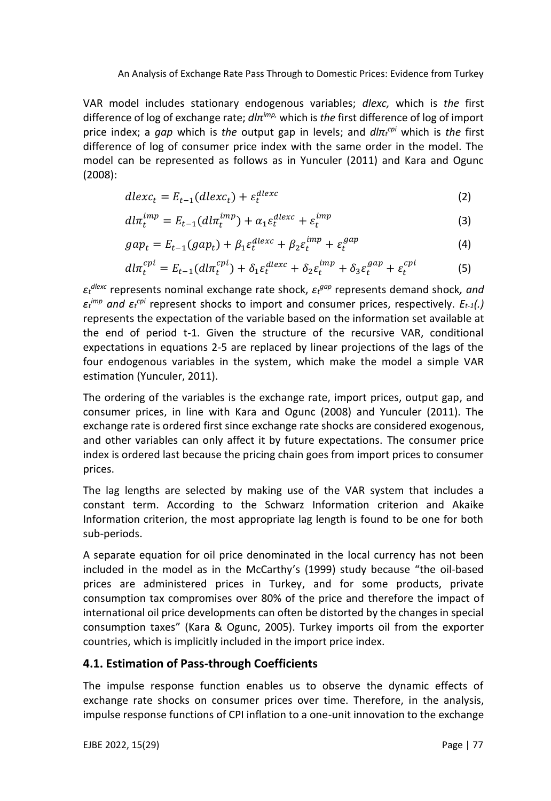VAR model includes stationary endogenous variables; *dlexc,* which is *the* first difference of log of exchange rate; *dlπ imp,* which is *the* first difference of log of import price index; a *gap* which is *the* output gap in levels; and *dlπ<sup>t</sup> cpi* which is *the* first difference of log of consumer price index with the same order in the model. The model can be represented as follows as in Yunculer (2011) and Kara and Ogunc (2008):

$$
dlexc_t = E_{t-1}(dlexc_t) + \varepsilon_t^{dlexc}
$$
\n(2)

$$
dl\pi_t^{imp} = E_{t-1}(dl\pi_t^{imp}) + \alpha_1 \varepsilon_t^{dlexc} + \varepsilon_t^{imp}
$$
\n(3)

$$
gap_t = E_{t-1}(gap_t) + \beta_1 \varepsilon_t^{dlexc} + \beta_2 \varepsilon_t^{imp} + \varepsilon_t^{gap}
$$
\n(4)

$$
dl\pi_t^{cpi} = E_{t-1}(dl\pi_t^{cpi}) + \delta_1 \varepsilon_t^{dlexc} + \delta_2 \varepsilon_t^{imp} + \delta_3 \varepsilon_t^{gap} + \varepsilon_t^{cpi}
$$
 (5)

*εt dlexc* represents nominal exchange rate shock, *ε<sup>t</sup> gap* represents demand shock*, and εt imp and ε<sup>t</sup> cpi* represent shocks to import and consumer prices, respectively. *Et-1(.)*  represents the expectation of the variable based on the information set available at the end of period t-1. Given the structure of the recursive VAR, conditional expectations in equations 2-5 are replaced by linear projections of the lags of the four endogenous variables in the system, which make the model a simple VAR estimation (Yunculer, 2011).

The ordering of the variables is the exchange rate, import prices, output gap, and consumer prices, in line with Kara and Ogunc (2008) and Yunculer (2011). The exchange rate is ordered first since exchange rate shocks are considered exogenous, and other variables can only affect it by future expectations. The consumer price index is ordered last because the pricing chain goes from import prices to consumer prices.

The lag lengths are selected by making use of the VAR system that includes a constant term. According to the Schwarz Information criterion and Akaike Information criterion, the most appropriate lag length is found to be one for both sub-periods.

A separate equation for oil price denominated in the local currency has not been included in the model as in the McCarthy's (1999) study because "the oil-based prices are administered prices in Turkey, and for some products, private consumption tax compromises over 80% of the price and therefore the impact of international oil price developments can often be distorted by the changes in special consumption taxes" (Kara & Ogunc, 2005). Turkey imports oil from the exporter countries, which is implicitly included in the import price index.

## **4.1. Estimation of Pass-through Coefficients**

The impulse response function enables us to observe the dynamic effects of exchange rate shocks on consumer prices over time. Therefore, in the analysis, impulse response functions of CPI inflation to a one-unit innovation to the exchange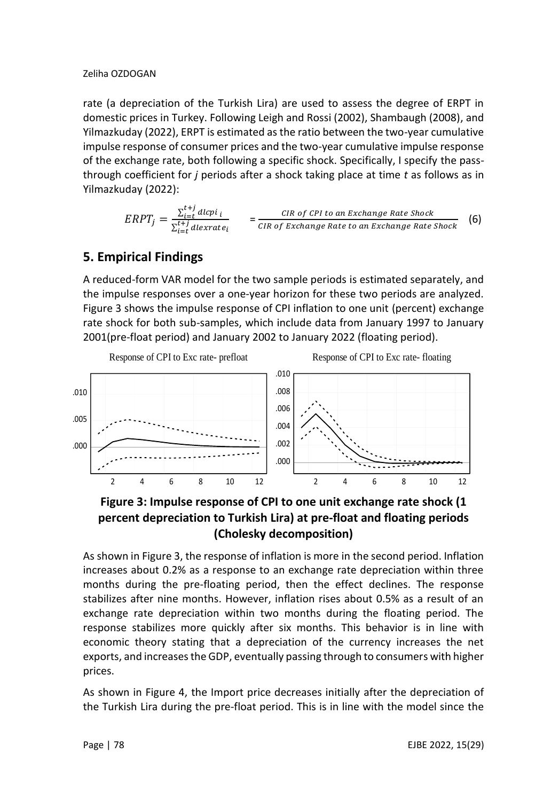rate (a depreciation of the Turkish Lira) are used to assess the degree of ERPT in domestic prices in Turkey. Following Leigh and Rossi (2002), Shambaugh (2008), and Yilmazkuday (2022), ERPT is estimated as the ratio between the two-year cumulative impulse response of consumer prices and the two-year cumulative impulse response of the exchange rate, both following a specific shock. Specifically, I specify the passthrough coefficient for *j* periods after a shock taking place at time *t* as follows as in Yilmazkuday (2022):

$$
ERPT_j = \frac{\sum_{i=t}^{t+j} d l c p i_i}{\sum_{i=t}^{t+j} d l e x r a t e_i} = \frac{CIR \ of \ CPI \ to \ an \ Exchange \ Rate \ shock}{CIR \ of \ Exchange \ Rate \ to \ an \ Exchange \ Rate \ Stock} \tag{6}
$$

# **5. Empirical Findings**

A reduced-form VAR model for the two sample periods is estimated separately, and the impulse responses over a one-year horizon for these two periods are analyzed. Figure 3 shows the impulse response of CPI inflation to one unit (percent) exchange rate shock for both sub-samples, which include data from January 1997 to January 2001(pre-float period) and January 2002 to January 2022 (floating period).





As shown in Figure 3, the response of inflation is more in the second period. Inflation increases about 0.2% as a response to an exchange rate depreciation within three months during the pre-floating period, then the effect declines. The response stabilizes after nine months. However, inflation rises about 0.5% as a result of an exchange rate depreciation within two months during the floating period. The response stabilizes more quickly after six months. This behavior is in line with economic theory stating that a depreciation of the currency increases the net exports, and increases the GDP, eventually passing through to consumers with higher prices.

As shown in Figure 4, the Import price decreases initially after the depreciation of the Turkish Lira during the pre-float period. This is in line with the model since the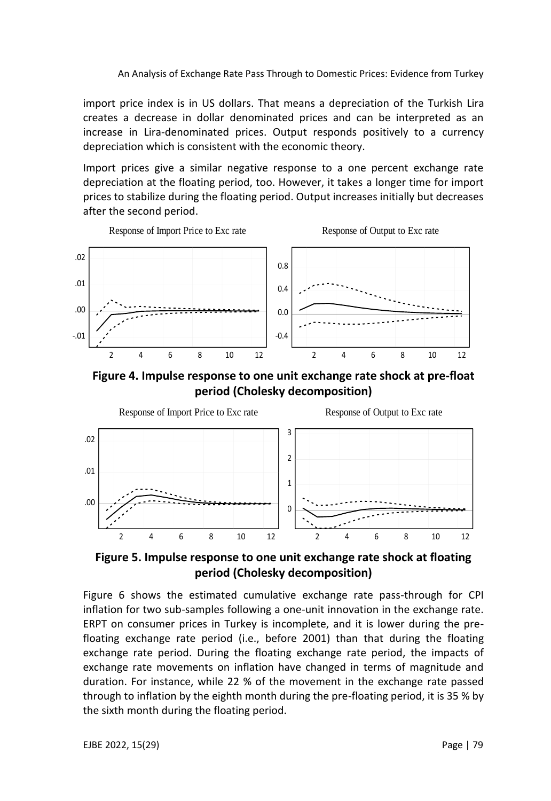import price index is in US dollars. That means a depreciation of the Turkish Lira creates a decrease in dollar denominated prices and can be interpreted as an increase in Lira-denominated prices. Output responds positively to a currency depreciation which is consistent with the economic theory.

Import prices give a similar negative response to a one percent exchange rate depreciation at the floating period, too. However, it takes a longer time for import prices to stabilize during the floating period. Output increases initially but decreases after the second period.



**Figure 4. Impulse response to one unit exchange rate shock at pre-float period (Cholesky decomposition)**



**Figure 5. Impulse response to one unit exchange rate shock at floating period (Cholesky decomposition)**

Figure 6 shows the estimated cumulative exchange rate pass-through for CPI inflation for two sub-samples following a one-unit innovation in the exchange rate. ERPT on consumer prices in Turkey is incomplete, and it is lower during the prefloating exchange rate period (i.e., before 2001) than that during the floating exchange rate period. During the floating exchange rate period, the impacts of exchange rate movements on inflation have changed in terms of magnitude and duration. For instance, while 22 % of the movement in the exchange rate passed through to inflation by the eighth month during the pre-floating period, it is 35 % by the sixth month during the floating period.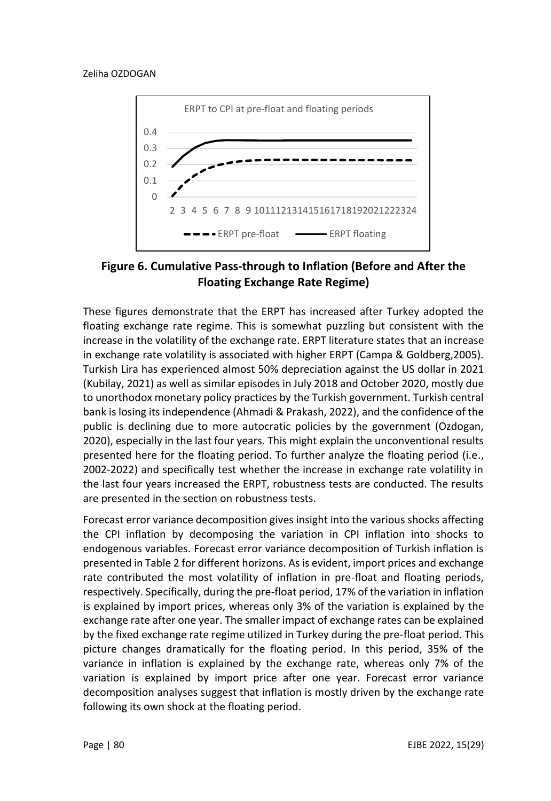

**Figure 6. Cumulative Pass-through to Inflation (Before and After the Floating Exchange Rate Regime)**

These figures demonstrate that the ERPT has increased after Turkey adopted the floating exchange rate regime. This is somewhat puzzling but consistent with the increase in the volatility of the exchange rate. ERPT literature states that an increase in exchange rate volatility is associated with higher ERPT (Campa & Goldberg,2005). Turkish Lira has experienced almost 50% depreciation against the US dollar in 2021 (Kubilay, 2021) as well as similar episodes in July 2018 and October 2020, mostly due to unorthodox monetary policy practices by the Turkish government. Turkish central bank is losing its independence (Ahmadi & Prakash, 2022), and the confidence of the public is declining due to more autocratic policies by the government (Ozdogan, 2020), especially in the last four years. This might explain the unconventional results presented here for the floating period. To further analyze the floating period (i.e., 2002-2022) and specifically test whether the increase in exchange rate volatility in the last four years increased the ERPT, robustness tests are conducted. The results are presented in the section on robustness tests.

Forecast error variance decomposition gives insight into the various shocks affecting the CPI inflation by decomposing the variation in CPI inflation into shocks to endogenous variables. Forecast error variance decomposition of Turkish inflation is presented in Table 2 for different horizons. As is evident, import prices and exchange rate contributed the most volatility of inflation in pre-float and floating periods, respectively. Specifically, during the pre-float period, 17% of the variation in inflation is explained by import prices, whereas only 3% of the variation is explained by the exchange rate after one year. The smaller impact of exchange rates can be explained by the fixed exchange rate regime utilized in Turkey during the pre-float period. This picture changes dramatically for the floating period. In this period, 35% of the variance in inflation is explained by the exchange rate, whereas only 7% of the variation is explained by import price after one year. Forecast error variance decomposition analyses suggest that inflation is mostly driven by the exchange rate following its own shock at the floating period.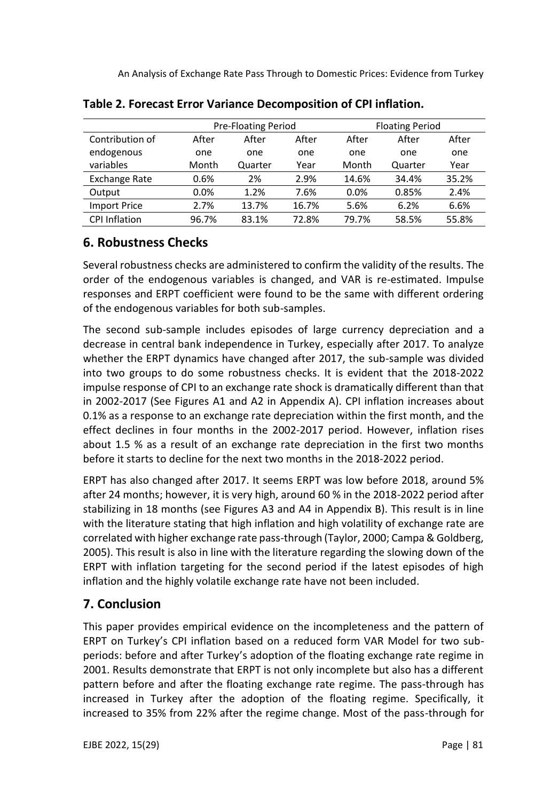|                      |       | <b>Pre-Floating Period</b> |       |       | <b>Floating Period</b> |       |  |
|----------------------|-------|----------------------------|-------|-------|------------------------|-------|--|
| Contribution of      | After | After                      | After | After | After                  | After |  |
| endogenous           | one   | one                        | one   | one   | one                    | one   |  |
| variables            | Month | Quarter                    | Year  | Month | Quarter                | Year  |  |
| <b>Exchange Rate</b> | 0.6%  | 2%                         | 2.9%  | 14.6% | 34.4%                  | 35.2% |  |
| Output               | 0.0%  | 1.2%                       | 7.6%  | 0.0%  | 0.85%                  | 2.4%  |  |
| <b>Import Price</b>  | 2.7%  | 13.7%                      | 16.7% | 5.6%  | 6.2%                   | 6.6%  |  |
| <b>CPI Inflation</b> | 96.7% | 83.1%                      | 72.8% | 79.7% | 58.5%                  | 55.8% |  |

**Table 2. Forecast Error Variance Decomposition of CPI inflation.**

# **6. Robustness Checks**

Several robustness checks are administered to confirm the validity of the results. The order of the endogenous variables is changed, and VAR is re-estimated. Impulse responses and ERPT coefficient were found to be the same with different ordering of the endogenous variables for both sub-samples.

The second sub-sample includes episodes of large currency depreciation and a decrease in central bank independence in Turkey, especially after 2017. To analyze whether the ERPT dynamics have changed after 2017, the sub-sample was divided into two groups to do some robustness checks. It is evident that the 2018-2022 impulse response of CPI to an exchange rate shock is dramatically different than that in 2002-2017 (See Figures A1 and A2 in Appendix A). CPI inflation increases about 0.1% as a response to an exchange rate depreciation within the first month, and the effect declines in four months in the 2002-2017 period. However, inflation rises about 1.5 % as a result of an exchange rate depreciation in the first two months before it starts to decline for the next two months in the 2018-2022 period.

ERPT has also changed after 2017. It seems ERPT was low before 2018, around 5% after 24 months; however, it is very high, around 60 % in the 2018-2022 period after stabilizing in 18 months (see Figures A3 and A4 in Appendix B). This result is in line with the literature stating that high inflation and high volatility of exchange rate are correlated with higher exchange rate pass-through (Taylor, 2000; Campa & Goldberg, 2005). This result is also in line with the literature regarding the slowing down of the ERPT with inflation targeting for the second period if the latest episodes of high inflation and the highly volatile exchange rate have not been included.

# **7. Conclusion**

This paper provides empirical evidence on the incompleteness and the pattern of ERPT on Turkey's CPI inflation based on a reduced form VAR Model for two subperiods: before and after Turkey's adoption of the floating exchange rate regime in 2001. Results demonstrate that ERPT is not only incomplete but also has a different pattern before and after the floating exchange rate regime. The pass-through has increased in Turkey after the adoption of the floating regime. Specifically, it increased to 35% from 22% after the regime change. Most of the pass-through for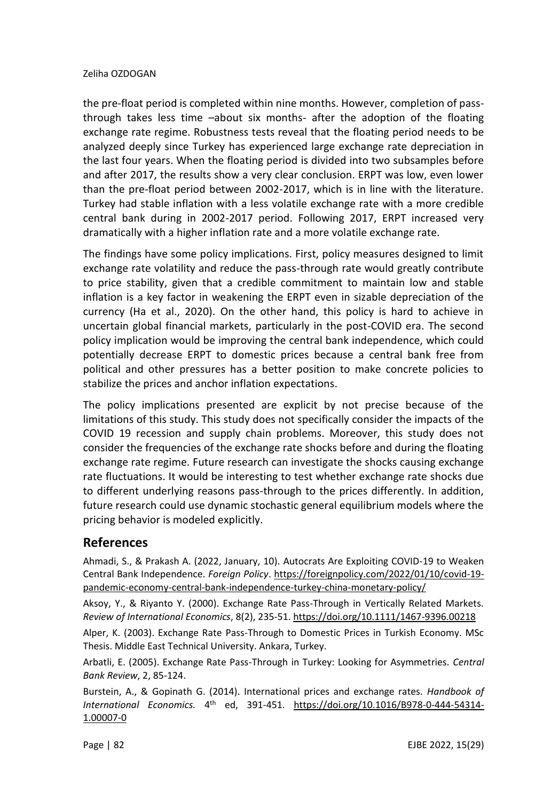the pre-float period is completed within nine months. However, completion of passthrough takes less time –about six months- after the adoption of the floating exchange rate regime. Robustness tests reveal that the floating period needs to be analyzed deeply since Turkey has experienced large exchange rate depreciation in the last four years. When the floating period is divided into two subsamples before and after 2017, the results show a very clear conclusion. ERPT was low, even lower than the pre-float period between 2002-2017, which is in line with the literature. Turkey had stable inflation with a less volatile exchange rate with a more credible central bank during in 2002-2017 period. Following 2017, ERPT increased very dramatically with a higher inflation rate and a more volatile exchange rate.

The findings have some policy implications. First, policy measures designed to limit exchange rate volatility and reduce the pass-through rate would greatly contribute to price stability, given that a credible commitment to maintain low and stable inflation is a key factor in weakening the ERPT even in sizable depreciation of the currency (Ha et al., 2020). On the other hand, this policy is hard to achieve in uncertain global financial markets, particularly in the post-COVID era. The second policy implication would be improving the central bank independence, which could potentially decrease ERPT to domestic prices because a central bank free from political and other pressures has a better position to make concrete policies to stabilize the prices and anchor inflation expectations.

The policy implications presented are explicit by not precise because of the limitations of this study. This study does not specifically consider the impacts of the COVID 19 recession and supply chain problems. Moreover, this study does not consider the frequencies of the exchange rate shocks before and during the floating exchange rate regime. Future research can investigate the shocks causing exchange rate fluctuations. It would be interesting to test whether exchange rate shocks due to different underlying reasons pass-through to the prices differently. In addition, future research could use dynamic stochastic general equilibrium models where the pricing behavior is modeled explicitly.

## **References**

Ahmadi, S., & Prakash A. (2022, January, 10). Autocrats Are Exploiting COVID-19 to Weaken Central Bank Independence. *Foreign Policy*. [https://foreignpolicy.com/2022/01/10/covid-19](https://foreignpolicy.com/2022/01/10/covid-19-pandemic-economy-central-bank-independence-turkey-china-monetary-policy/) [pandemic-economy-central-bank-independence-turkey-china-monetary-policy/](https://foreignpolicy.com/2022/01/10/covid-19-pandemic-economy-central-bank-independence-turkey-china-monetary-policy/)

Aksoy, Y., & Riyanto Y. (2000). Exchange Rate Pass-Through in Vertically Related Markets. *Review of International Economics*, 8(2), 235-51. <https://doi.org/10.1111/1467-9396.00218>

Alper, K. (2003). Exchange Rate Pass-Through to Domestic Prices in Turkish Economy. MSc Thesis. Middle East Technical University. Ankara, Turkey.

Arbatli, E. (2005). Exchange Rate Pass-Through in Turkey: Looking for Asymmetries. *Central Bank Review*, 2, 85-124.

Burstein, A., & Gopinath G. (2014). International prices and exchange rates. *Handbook of International Economics.* 4 th ed, 391-451. [https://doi.org/10.1016/B978-0-444-54314-](https://doi.org/10.1016/B978-0-444-54314-1.00007-0) [1.00007-0](https://doi.org/10.1016/B978-0-444-54314-1.00007-0)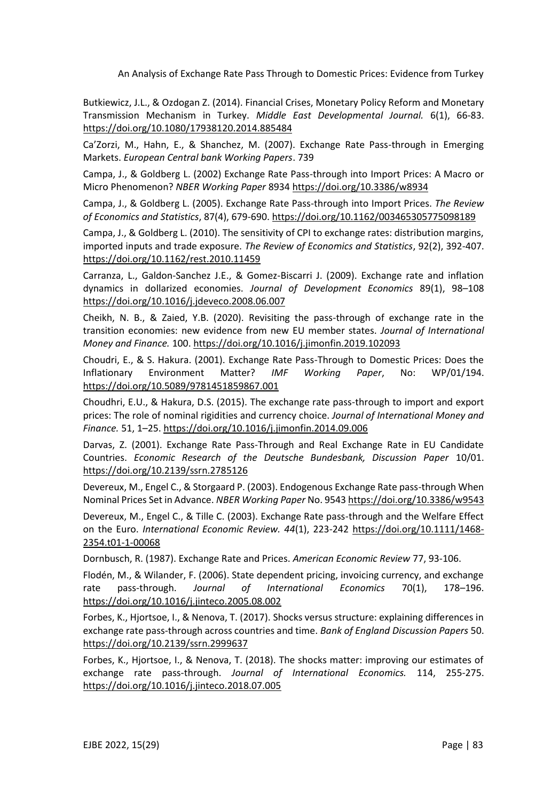Butkiewicz, J.L., & Ozdogan Z. (2014). Financial Crises, Monetary Policy Reform and Monetary Transmission Mechanism in Turkey. *Middle East Developmental Journal.* 6(1), 66-83. <https://doi.org/10.1080/17938120.2014.885484>

Ca'Zorzi, M., Hahn, E., & Shanchez, M. (2007). Exchange Rate Pass-through in Emerging Markets. *European Central bank Working Papers*. 739

Campa, J., & Goldberg L. (2002) Exchange Rate Pass-through into Import Prices: A Macro or Micro Phenomenon? *NBER Working Paper* 8934 <https://doi.org/10.3386/w8934>

Campa, J., & Goldberg L. (2005). Exchange Rate Pass-through into Import Prices. *The Review of Economics and Statistics*, 87(4), 679-690. <https://doi.org/10.1162/003465305775098189>

Campa, J., & Goldberg L. (2010). The sensitivity of CPI to exchange rates: distribution margins, imported inputs and trade exposure. *The Review of Economics and Statistics*, 92(2), 392-407. <https://doi.org/10.1162/rest.2010.11459>

Carranza, L., Galdon-Sanchez J.E., & Gomez-Biscarri J. (2009). Exchange rate and inflation dynamics in dollarized economies. *Journal of Development Economics* 89(1), 98–108 <https://doi.org/10.1016/j.jdeveco.2008.06.007>

Cheikh, N. B., & Zaied, Y.B. (2020). Revisiting the pass-through of exchange rate in the transition economies: new evidence from new EU member states. *Journal of International Money and Finance.* 100[. https://doi.org/10.1016/j.jimonfin.2019.102093](https://doi.org/10.1016/j.jimonfin.2019.102093) 

Choudri, E., & S. Hakura. (2001). Exchange Rate Pass-Through to Domestic Prices: Does the Inflationary Environment Matter? *IMF Working Paper*, No: WP/01/194. <https://doi.org/10.5089/9781451859867.001>

Choudhri, E.U., & Hakura, D.S. (2015). The exchange rate pass-through to import and export prices: The role of nominal rigidities and currency choice. *Journal of International Money and Finance.* 51, 1–25. <https://doi.org/10.1016/j.jimonfin.2014.09.006>

Darvas, Z. (2001). Exchange Rate Pass-Through and Real Exchange Rate in EU Candidate Countries. *Economic Research of the Deutsche Bundesbank, Discussion Paper* 10/01. <https://doi.org/10.2139/ssrn.2785126>

Devereux, M., Engel C., & Storgaard P. (2003). Endogenous Exchange Rate pass-through When Nominal Prices Set in Advance. *NBER Working Paper* No. 9543 <https://doi.org/10.3386/w9543>

Devereux, M., Engel C., & Tille C. (2003). Exchange Rate pass-through and the Welfare Effect on the Euro. *International Economic Review. 44*(1), 223-242 [https://doi.org/10.1111/1468-](https://doi.org/10.1111/1468-2354.t01-1-00068) [2354.t01-1-00068](https://doi.org/10.1111/1468-2354.t01-1-00068)

Dornbusch, R. (1987). Exchange Rate and Prices. *American Economic Review* 77, 93-106.

Flodén, M., & Wilander, F. (2006). State dependent pricing, invoicing currency, and exchange rate pass-through. *Journal of International Economics* 70(1), 178–196. <https://doi.org/10.1016/j.jinteco.2005.08.002>

Forbes, K., Hjortsoe, I., & Nenova, T. (2017). [Shocks versus structure: explaining differences in](https://ideas.repec.org/p/mpc/wpaper/0050.html)  [exchange rate pass-through across countries and time.](https://ideas.repec.org/p/mpc/wpaper/0050.html) *Bank of Englan[d Discussion Papers](https://ideas.repec.org/s/mpc/wpaper.html)* 50. <https://doi.org/10.2139/ssrn.2999637>

Forbes, K., Hjortsoe, I., & Nenova, T. (2018). The shocks matter: improving our estimates of exchange rate pass-through. *Journal of International Economics.* 114, 255-275. <https://doi.org/10.1016/j.jinteco.2018.07.005>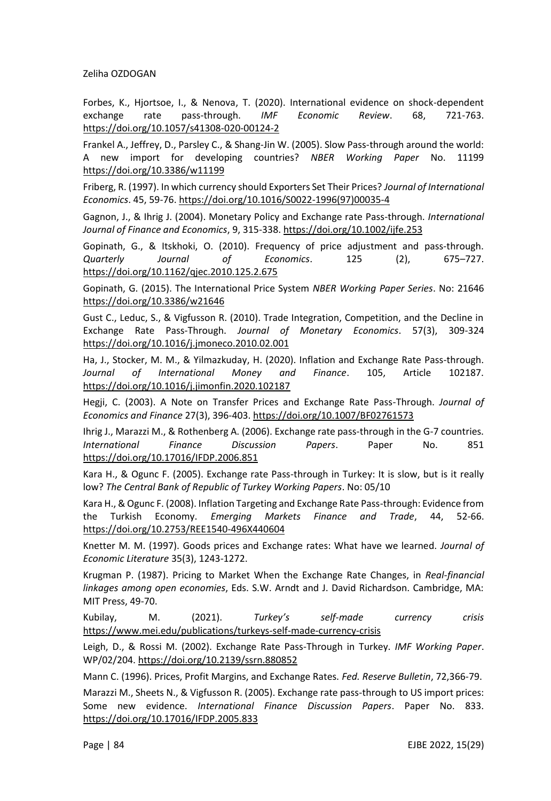Forbes, K., Hjortsoe, I., & Nenova, T. (2020). International evidence on shock-dependent exchange rate pass-through. *IMF Economic Review*. 68, 721-763. <https://doi.org/10.1057/s41308-020-00124-2>

Frankel A., Jeffrey, D., Parsley C., & Shang-Jin W. (2005). Slow Pass-through around the world: A new import for developing countries? *NBER Working Paper* No. 11199 <https://doi.org/10.3386/w11199>

Friberg, R. (1997). In which currency should Exporters Set Their Prices? *Journal of International Economics*. 45, 59-76. [https://doi.org/10.1016/S0022-1996\(97\)00035-4](https://doi.org/10.1016/S0022-1996(97)00035-4)

Gagnon, J., & Ihrig J. (2004). Monetary Policy and Exchange rate Pass-through. *International Journal of Finance and Economics*, 9, 315-338. <https://doi.org/10.1002/ijfe.253>

Gopinath, G., & Itskhoki, O. (2010). Frequency of price adjustment and pass-through. *Quarterly Journal of Economics*. 125 (2), 675–727. <https://doi.org/10.1162/qjec.2010.125.2.675>

Gopinath, G. (2015). The International Price System *NBER Working Paper Series*. No: 21646 <https://doi.org/10.3386/w21646>

Gust C., Leduc, S., & Vigfusson R. (2010). Trade Integration, Competition, and the Decline in Exchange Rate Pass-Through. *Journal of Monetary Economics*. 57(3), 309-324 <https://doi.org/10.1016/j.jmoneco.2010.02.001>

Ha, J., Stocker, M. M., & Yilmazkuday, H. (2020). Inflation and Exchange Rate Pass-through. *Journal of International Money and Finance*. 105, Article 102187. <https://doi.org/10.1016/j.jimonfin.2020.102187>

Hegji, C. (2003). A Note on Transfer Prices and Exchange Rate Pass-Through. *Journal of Economics and Finance* 27(3), 396-403. <https://doi.org/10.1007/BF02761573>

Ihrig J., Marazzi M., & Rothenberg A. (2006). Exchange rate pass-through in the G-7 countries. *International Finance Discussion Papers*. Paper No. 851 <https://doi.org/10.17016/IFDP.2006.851>

Kara H., & Ogunc F. (2005). Exchange rate Pass-through in Turkey: It is slow, but is it really low? *The Central Bank of Republic of Turkey Working Papers*. No: 05/10

Kara H., & Ogunc F. (2008). Inflation Targeting and Exchange Rate Pass-through: Evidence from the Turkish Economy. *Emerging Markets Finance and Trade*, 44, 52-66. <https://doi.org/10.2753/REE1540-496X440604>

Knetter M. M. (1997). Goods prices and Exchange rates: What have we learned. *Journal of Economic Literature* 35(3), 1243-1272.

Krugman P. (1987). Pricing to Market When the Exchange Rate Changes, in *Real-financial linkages among open economies*, Eds. S.W. Arndt and J. David Richardson. Cambridge, MA: MIT Press, 49-70.

Kubilay, M. (2021). *Turkey's self-made currency crisis* <https://www.mei.edu/publications/turkeys-self-made-currency-crisis>

Leigh, D., & Rossi M. (2002). Exchange Rate Pass-Through in Turkey. *IMF Working Paper*. WP/02/204. <https://doi.org/10.2139/ssrn.880852>

Mann C. (1996). Prices, Profit Margins, and Exchange Rates. *Fed. Reserve Bulletin*, 72,366-79.

Marazzi M., Sheets N., & Vigfusson R. (2005). Exchange rate pass-through to US import prices: Some new evidence. *International Finance Discussion Papers*. Paper No. 833. <https://doi.org/10.17016/IFDP.2005.833>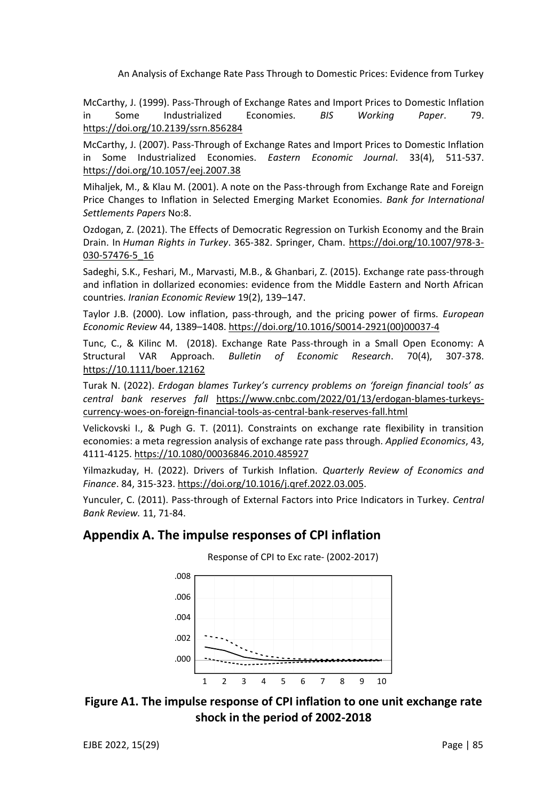McCarthy, J. (1999). Pass-Through of Exchange Rates and Import Prices to Domestic Inflation in Some Industrialized Economies. *BIS Working Paper*. 79. <https://doi.org/10.2139/ssrn.856284>

McCarthy, J. (2007). Pass-Through of Exchange Rates and Import Prices to Domestic Inflation in Some Industrialized Economies. *Eastern Economic Journal*. 33(4), 511-537. <https://doi.org/10.1057/eej.2007.38>

Mihaljek, M., & Klau M. (2001). A note on the Pass-through from Exchange Rate and Foreign Price Changes to Inflation in Selected Emerging Market Economies. *Bank for International Settlements Papers* No:8.

Ozdogan, Z. (2021). The Effects of Democratic Regression on Turkish Economy and the Brain Drain. In *Human Rights in Turkey*. 365-382. Springer, Cham. [https://doi.org/10.1007/978-3-](https://doi.org/10.1007/978-3-030-57476-5_16) [030-57476-5\\_16](https://doi.org/10.1007/978-3-030-57476-5_16)

Sadeghi, S.K., Feshari, M., Marvasti, M.B., & Ghanbari, Z. (2015). Exchange rate pass-through and inflation in dollarized economies: evidence from the Middle Eastern and North African countries. *Iranian Economic Review* 19(2), 139–147.

Taylor J.B. (2000). Low inflation, pass-through, and the pricing power of firms. *European Economic Review* 44, 1389–1408. [https://doi.org/10.1016/S0014-2921\(00\)00037-4](https://doi.org/10.1016/S0014-2921(00)00037-4)

Tunc, C., & Kilinc M. (2018). Exchange Rate Pass-through in a Small Open Economy: A Structural VAR Approach. *Bulletin of Economic Research*. 70(4), 307-378. [https://10.1111/boer.12162](https://10.0.4.87/boer.12162)

Turak N. (2022). *Erdogan blames Turkey's currency problems on 'foreign financial tools' as central bank reserves fall* [https://www.cnbc.com/2022/01/13/erdogan-blames-turkeys](https://www.cnbc.com/2022/01/13/erdogan-blames-turkeys-currency-woes-on-foreign-financial-tools-as-central-bank-reserves-fall.html)[currency-woes-on-foreign-financial-tools-as-central-bank-reserves-fall.html](https://www.cnbc.com/2022/01/13/erdogan-blames-turkeys-currency-woes-on-foreign-financial-tools-as-central-bank-reserves-fall.html)

Velickovski I., & Pugh G. T. (2011). Constraints on exchange rate flexibility in transition economies: a meta regression analysis of exchange rate pass through. *Applied Economics*, 43, 4111-4125. [https://10.1080/00036846.2010.485927](https://10.0.4.56/00036846.2010.485927)

Yilmazkuday, H. (2022). Drivers of Turkish Inflation. *Quarterly Review of Economics and Finance*. 84, 315-323. [https://doi.org/10.1016/j.qref.2022.03.005.](https://doi.org/10.1016/j.qref.2022.03.005)

Yunculer, C. (2011). Pass-through of External Factors into Price Indicators in Turkey. *Central Bank Review.* 11, 71-84.

#### **Appendix A. The impulse responses of CPI inflation**



Response of CPI to Exc rate- (2002-2017)



EJBE 2022, 15(29) Page | 85